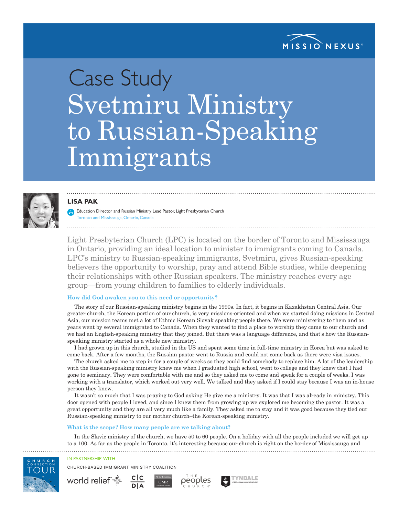

# Case Study Svetmiru Ministry to Russian-Speaking Immigrants



# **LISA PAK**

Education Director and Russian Ministry Lead Pastor, Light Presbyterian Church Toronto and Mississauga, Ontario, Canada

Light Presbyterian Church (LPC) is located on the border of Toronto and Mississauga in Ontario, providing an ideal location to minister to immigrants coming to Canada. LPC's ministry to Russian-speaking immigrants, Svetmiru, gives Russian-speaking believers the opportunity to worship, pray and attend Bible studies, while deepening their relationships with other Russian speakers. The ministry reaches every age group—from young children to families to elderly individuals.

# **How did God awaken you to this need or opportunity?**

The story of our Russian-speaking ministry begins in the 1990s. In fact, it begins in Kazakhstan Central Asia. Our greater church, the Korean portion of our church, is very missions-oriented and when we started doing missions in Central Asia, our mission teams met a lot of Ethnic Korean Slovak speaking people there. We were ministering to them and as years went by several immigrated to Canada. When they wanted to find a place to worship they came to our church and we had an English-speaking ministry that they joined. But there was a language difference, and that's how the Russianspeaking ministry started as a whole new ministry.

I had grown up in this church, studied in the US and spent some time in full-time ministry in Korea but was asked to come back. After a few months, the Russian pastor went to Russia and could not come back as there were visa issues.

The church asked me to step in for a couple of weeks so they could find somebody to replace him. A lot of the leadership with the Russian-speaking ministry knew me when I graduated high school, went to college and they knew that I had gone to seminary. They were comfortable with me and so they asked me to come and speak for a couple of weeks. I was working with a translator, which worked out very well. We talked and they asked if I could stay because I was an in-house person they knew.

It wasn't so much that I was praying to God asking He give me a ministry. It was that I was already in ministry. This door opened with people I loved, and since I knew them from growing up we explored me becoming the pastor. It was a great opportunity and they are all very much like a family. They asked me to stay and it was good because they tied our Russian-speaking ministry to our mother church–the Korean-speaking ministry.

#### **What is the scope? How many people are we talking about?**

In the Slavic ministry of the church, we have 50 to 60 people. On a holiday with all the people included we will get up to a 100. As far as the people in Toronto, it's interesting because our church is right on the border of Mississauga and





world relief  $\mathbb{F}_{\mathbb{H}}^{\mathbb{H}}$ 

CHURCH-BASED IMMIGRANT MINISTRY COALITION



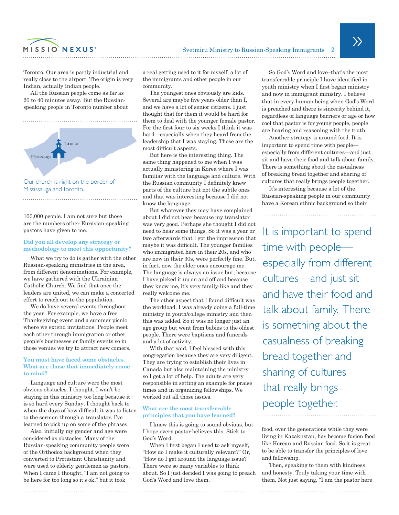

Toronto. Our area is partly industrial and really close to the airport. The origin is very Indian, actually Indian people.

All the Russian people come as far as 20 to 40 minutes away. But the Russianspeaking people in Toronto number about



Mississauga and Toronto.

100,000 people. I am not sure but those are the numbers other Eurasian-speaking pastors have given to me.

# **Did you all develop any strategy or methodology to meet this opportunity?**

What we try to do is gather with the other Russian-speaking ministries in the area, from different denominations. For example, we have gathered with the Ukrainian Catholic Church. We find that once the leaders are united, we can make a concerted effort to reach out to the population.

We do have several events throughout the year. For example, we have a free Thanksgiving event and a summer picnic where we extend invitations. People meet each other through immigration or other people's businesses or family events so in those venues we try to attract new comers.

### **You must have faced some obstacles. What are those that immediately come to mind?**

Language and culture were the most obvious obstacles. I thought, I won't be staying in this ministry too long because it is so hard every Sunday. I thought back to when the days of how difficult it was to listen to the sermon through a translator. I've learned to pick up on some of the phrases.

Also, initially my gender and age were considered as obstacles. Many of the Russian-speaking community people were of the Orthodox background when they converted to Protestant Christianity and were used to elderly gentlemen as pastors. When I came I thought, "I am not going to be here for too long so it's ok," but it took

a real getting used to it for myself, a lot of the immigrants and other people in our community.

The youngest ones obviously are kids. Several are maybe five years older than I, and we have a lot of senior citizens. I just thought that for them it would be hard for them to deal with the younger female pastor. For the first four to six weeks I think it was hard—especially when they heard from the leadership that I was staying. Those are the most difficult aspects.

But here is the interesting thing. The same thing happened to me when I was actually ministering in Korea where I was familiar with the language and culture. With the Russian community I definitely knew parts of the culture but not the subtle ones and that was interesting because I did not know the language.

But whatever they may have complained about I did not hear because my translator was very good. Perhaps she thought I did not need to hear some things. So it was a year or two afterwards that I got the impression that maybe it was difficult. The younger families who immigrated here in their 20s, and who are now in their 30s, were perfectly fine. But, in fact, now the older ones encourage me. The language is always an issue but, because I have picked it up on and off and because they know me, it's very family-like and they really welcome me.

The other aspect that I found difficult was the workload. I was already doing a full-time ministry in youth/college ministry and then this was added. So it was no longer just an age group but went from babies to the oldest people. There were baptisms and funerals and a lot of activity.

With that said, I feel blessed with this congregation because they are very diligent. They are trying to establish their lives in Canada but also maintaining the ministry so I get a lot of help. The adults are very responsible in setting an example for praise times and in organizing fellowships. We worked out all those issues.

# **What are the most transferrable principles that you have learned?**

I know this is going to sound obvious, but I hope every pastor believes this. Stick to God's Word.

When I first began I used to ask myself, "How do I make it culturally relevant?" Or, "How do I get around the language issue?" There were so many variables to think about. So I just decided I was going to preach God's Word and love them.

So God's Word and love–that's the most transferrable principle I have identified in youth ministry when I first began ministry and now in immigrant ministry. I believe that in every human being when God's Word is preached and there is sincerity behind it, regardless of language barriers or age or how cool that pastor is for young people, people are hearing and reasoning with the truth.

Another strategy is around food. It is important to spend time with people especially from different cultures—and just sit and have their food and talk about family. There is something about the casualness of breaking bread together and sharing of cultures that really brings people together.

It's interesting because a lot of the Russian-speaking people in our community have a Korean ethnic background so their

It is important to spend time with people especially from different cultures—and just sit and have their food and talk about family. There is something about the casualness of breaking bread together and sharing of cultures that really brings people together.

food, over the generations while they were living in Kazakhstan, has become fusion food like Korean and Russian food. So it is great to be able to transfer the principles of love and fellowship.

Then, speaking to them with kindness and honesty. Truly taking your time with them. Not just saying, "I am the pastor here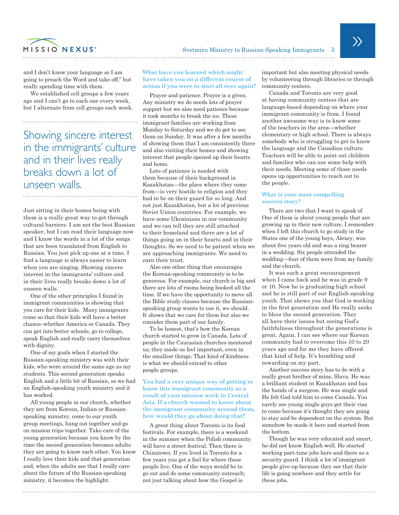

and I don't know your language so I am going to preach the Word and take off," but really spending time with them.

We established cell groups a few years ago and I can't go to each one every week, but I alternate from cell groups each week.

Showing sincere interest in the immigrants' culture and in their lives really breaks down a lot of unseen walls.

Just sitting in their homes being with them is a really great way to get through cultural barriers. I am not the best Russian speaker, but I can read their language now and I know the words in a lot of the songs that are been translated from English to Russian. You just pick up one at a time. I find a language is always easier to learn when you are singing. Showing sincere interest in the immigrants' culture and in their lives really breaks down a lot of unseen walls.

One of the other principles I found in immigrant communities is showing that you care for their kids. Many immigrants come so that their kids will have a better chance–whether America or Canada. They can get into better schools, go to college, speak English and really carry themselves with dignity.

One of my goals when I started the Russian-speaking ministry was with their kids, who were around the same age as my students. This second generation speaks English and a little bit of Russian, so we had an English-speaking youth ministry and it has worked.

All young people in our church, whether they are from Korean, Indian or Russianspeaking ministry, come to our youth group meetings, hang out together and go on mission trips together. Take care of the young generation because you know by the time the second generation becomes adults they are going to know each other. You know I really love their kids and that generation and, when the adults see that I really care about the future of the Russian-speaking ministry, it becomes the highlight.

# **What have you learned which might have taken you on a different course of action if you were to start all over again?**

Prayer and patience. Prayer is a given. Any ministry we do needs lots of prayer support but we also need patience because it took months to break the ice. These immigrant families are working from Monday to Saturday and we do get to see them on Sunday. It was after a few months of showing them that I am consistently there and also visiting their homes and showing interest that people opened up their hearts and home.

Lots of patience is needed with them because of their background in Kazakhstan—the place where they come from—is very hostile to religion and they had to be on their guard for so long. And not just Kazakhstan, but a lot of previous Soviet Union countries. For example, we have some Ukrainians in our community and we can tell they are still attached to their homeland and there are a lot of things going on in their hearts and in their thoughts. So we need to be patient when we are approaching immigrants. We need to earn their trust.

Also one other thing that encourages the Korean-speaking community is to be generous. For example, our church is big and there are lots of rooms being booked all the time. If we have the opportunity to move all the Bible study classes because the Russianspeaking group wants to use it, we should. It shows that we care for them but also we consider them part of our family.

To be honest, that's how the Korean church started to grow in Canada. Lots of people in the Caucasian churches mentored us; they made us feel important, even in the smallest things. That kind of kindness is what we should extend to other people groups.

# **You had a very unique way of getting to know this immigrant community as a result of your mission work in Central Asia. If a church wanted to know about the immigrant community around them, how would they go about doing that?**

A great thing about Toronto is its food festivals. For example, there is a weekend in the summer when the Polish community will have a street festival. Then there is Chinatown. If you lived in Toronto for a few years you get a feel for where these people live. One of the ways would be to go out and do some community outreach; not just talking about how the Gospel is

important but also meeting physical needs by volunteering through libraries or through community centers.

Canada and Toronto are very good at having community centers that are language-based depending on where your immigrant community is from. I found another awesome way is to know some of the teachers in the area—whether elementary or high school. There is always somebody who is struggling to get to know the language and the Canadian culture. Teachers will be able to point out children and families who can use some help with their needs. Meeting some of those needs opens up opportunities to reach out to the people.

#### **What is your most compelling success story?**

There are two that I want to speak of. One of them is about young people that are growing up in their new culture. I remember when I left this church to go study in the States one of the young boys, Alexey, was about five years old and was a ring bearer in a wedding. Six people attended the wedding—four of them were from my family and the church.

It was such a great encouragement when I came back and he was in grade 9 or 10. Now he is graduating high school and he is still part of our English-speaking youth. That shows you that God is working in the first generation and He really seeks to bless the second generation. They all have their issues but seeing God's faithfulness throughout the generations is great. Again, I can see where our Korean community had to overcome this 10 to 20 years ago and for me they have offered that kind of help. It's humbling and rewarding on my part.

Another success story has to do with a really great brother of mine, Slava. He was a brilliant student in Kazakhstan and has the hands of a surgeon. He was single and He felt God told him to come Canada. You rarely see young single guys get their visa to come because it's thought they are going to stay and be dependent on the system. But somehow he made it here and started from the bottom.

Though he was very educated and smart, he did not know English well. He started working part-time jobs here and there as a security guard. I think a lot of immigrant people give-up because they see that their life is going nowhere and they settle for these jobs.